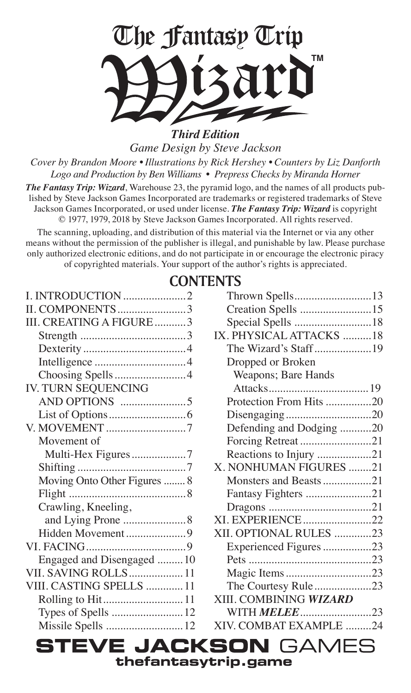

*Game Design by Steve Jackson*

*Cover by Brandon Moore • Illustrations by Rick Hershey • Counters by Liz Danforth Logo and Production by Ben Williams • Prepress Checks by Miranda Horner*

*The Fantasy Trip: Wizard*, Warehouse 23, the pyramid logo, and the names of all products published by Steve Jackson Games Incorporated are trademarks or registered trademarks of Steve Jackson Games Incorporated, or used under license. *The Fantasy Trip: Wizard* is copyright © 1977, 1979, 2018 by Steve Jackson Games Incorporated. All rights reserved.

The scanning, uploading, and distribution of this material via the Internet or via any other means without the permission of the publisher is illegal, and punishable by law. Please purchase only authorized electronic editions, and do not participate in or encourage the electronic piracy of copyrighted materials. Your support of the author's rights is appreciated.

### **CONTENTS**

| <b>II. COMPONENTS3</b>       |  |
|------------------------------|--|
| III. CREATING A FIGURE 3     |  |
|                              |  |
|                              |  |
|                              |  |
| Choosing Spells4             |  |
| IV. TURN SEQUENCING          |  |
|                              |  |
|                              |  |
|                              |  |
| Movement of                  |  |
| Multi-Hex Figures7           |  |
|                              |  |
| Moving Onto Other Figures  8 |  |
|                              |  |
| Crawling, Kneeling,          |  |
| and Lying Prone  8           |  |
| Hidden Movement 9            |  |
|                              |  |
| Engaged and Disengaged  10   |  |
| VII. SAVING ROLLS11          |  |
| VIII. CASTING SPELLS  11     |  |
|                              |  |
| Types of Spells  12          |  |
| Missile Spells  12           |  |
|                              |  |

| Thrown Spells13          |  |
|--------------------------|--|
| Creation Spells 15       |  |
| Special Spells 18        |  |
| IX. PHYSICAL ATTACKS 18  |  |
| The Wizard's Staff19     |  |
| Dropped or Broken        |  |
| Weapons; Bare Hands      |  |
|                          |  |
| Protection From Hits 20  |  |
|                          |  |
| Defending and Dodging 20 |  |
| Forcing Retreat 21       |  |
| Reactions to Injury 21   |  |
| X. NONHUMAN FIGURES 21   |  |
| Monsters and Beasts21    |  |
| Fantasy Fighters 21      |  |
|                          |  |
| XI. EXPERIENCE22         |  |
| XII. OPTIONAL RULES 23   |  |
| Experienced Figures 23   |  |
|                          |  |
| Magic Items23            |  |
| The Courtesy Rule23      |  |
| XIII. COMBINING WIZARD   |  |
| WITH MELEE23             |  |
| XIV. COMBAT EXAMPLE 24   |  |
|                          |  |

**STEVE JACKSON** GAMES **thefantasytrip.game**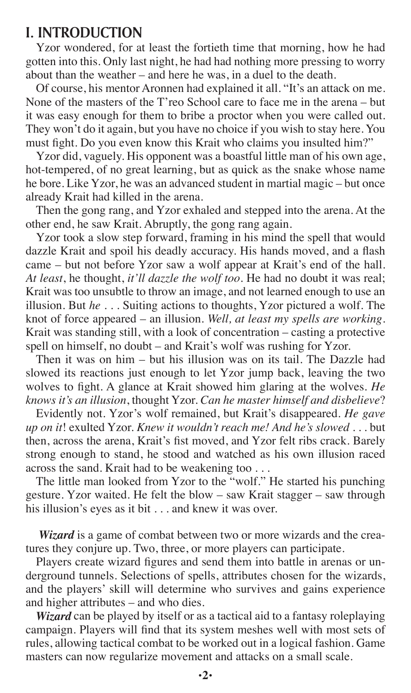#### **I. INTRODUCTION**

Yzor wondered, for at least the fortieth time that morning, how he had gotten into this. Only last night, he had had nothing more pressing to worry about than the weather – and here he was, in a duel to the death.

Of course, his mentor Aronnen had explained it all. "It's an attack on me. None of the masters of the T'reo School care to face me in the arena – but it was easy enough for them to bribe a proctor when you were called out. They won't do it again, but you have no choice if you wish to stay here. You must fght. Do you even know this Krait who claims you insulted him?"

Yzor did, vaguely. His opponent was a boastful little man of his own age, hot-tempered, of no great learning, but as quick as the snake whose name he bore. Like Yzor, he was an advanced student in martial magic – but once already Krait had killed in the arena.

Then the gong rang, and Yzor exhaled and stepped into the arena. At the other end, he saw Krait. Abruptly, the gong rang again.

Yzor took a slow step forward, framing in his mind the spell that would dazzle Krait and spoil his deadly accuracy. His hands moved, and a fash came – but not before Yzor saw a wolf appear at Krait's end of the hall. *At least*, he thought, *it'll dazzle the wolf too*. He had no doubt it was real; Krait was too unsubtle to throw an image, and not learned enough to use an illusion. But *he* . . . Suiting actions to thoughts, Yzor pictured a wolf. The knot of force appeared – an illusion. *Well, at least my spells are working.* Krait was standing still, with a look of concentration – casting a protective spell on himself, no doubt – and Krait's wolf was rushing for Yzor.

Then it was on him – but his illusion was on its tail. The Dazzle had slowed its reactions just enough to let Yzor jump back, leaving the two wolves to fght. A glance at Krait showed him glaring at the wolves. *He knows it's an illusion*, thought Yzor. *Can he master himself and disbelieve*?

Evidently not. Yzor's wolf remained, but Krait's disappeared. *He gave up on it*! exulted Yzor. *Knew it wouldn't reach me! And he's slowed* . . . but then, across the arena, Krait's fst moved, and Yzor felt ribs crack. Barely strong enough to stand, he stood and watched as his own illusion raced across the sand. Krait had to be weakening too . . .

The little man looked from Yzor to the "wolf." He started his punching gesture. Yzor waited. He felt the blow – saw Krait stagger – saw through his illusion's eyes as it bit . . . and knew it was over.

*Wizard* is a game of combat between two or more wizards and the creatures they conjure up. Two, three, or more players can participate.

Players create wizard fgures and send them into battle in arenas or underground tunnels. Selections of spells, attributes chosen for the wizards, and the players' skill will determine who survives and gains experience and higher attributes – and who dies.

*Wizard* can be played by itself or as a tactical aid to a fantasy roleplaying campaign. Players will fnd that its system meshes well with most sets of rules, allowing tactical combat to be worked out in a logical fashion. Game masters can now regularize movement and attacks on a small scale.